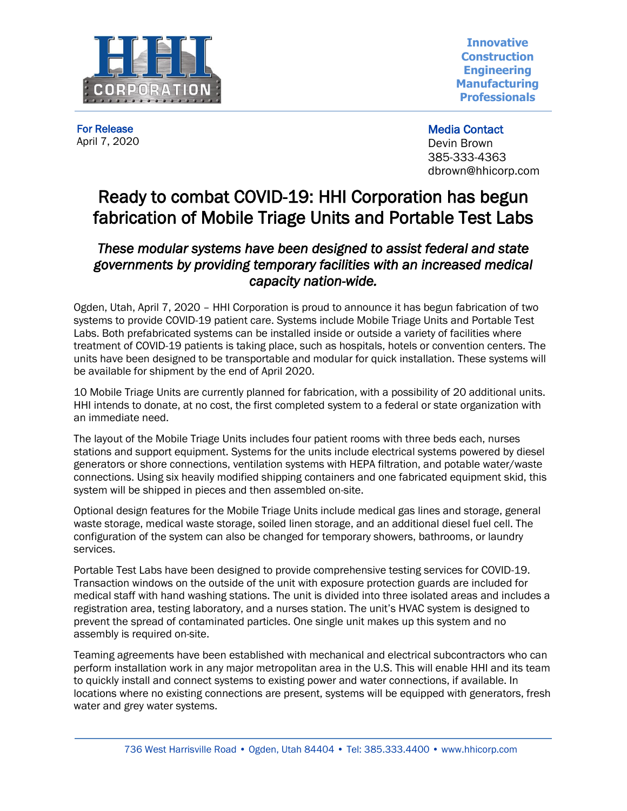

**Innovative Construction Engineering Manufacturing Professionals**

For Release April 7, 2020 Media Contact Devin Brown 385-333-4363 dbrown@hhicorp.com

## Ready to combat COVID-19: HHI Corporation has begun fabrication of Mobile Triage Units and Portable Test Labs

## *These modular systems have been designed to assist federal and state governments by providing temporary facilities with an increased medical capacity nation-wide.*

Ogden, Utah, April 7, 2020 – HHI Corporation is proud to announce it has begun fabrication of two systems to provide COVID-19 patient care. Systems include Mobile Triage Units and Portable Test Labs. Both prefabricated systems can be installed inside or outside a variety of facilities where treatment of COVID-19 patients is taking place, such as hospitals, hotels or convention centers. The units have been designed to be transportable and modular for quick installation. These systems will be available for shipment by the end of April 2020.

10 Mobile Triage Units are currently planned for fabrication, with a possibility of 20 additional units. HHI intends to donate, at no cost, the first completed system to a federal or state organization with an immediate need.

The layout of the Mobile Triage Units includes four patient rooms with three beds each, nurses stations and support equipment. Systems for the units include electrical systems powered by diesel generators or shore connections, ventilation systems with HEPA filtration, and potable water/waste connections. Using six heavily modified shipping containers and one fabricated equipment skid, this system will be shipped in pieces and then assembled on-site.

Optional design features for the Mobile Triage Units include medical gas lines and storage, general waste storage, medical waste storage, soiled linen storage, and an additional diesel fuel cell. The configuration of the system can also be changed for temporary showers, bathrooms, or laundry services.

Portable Test Labs have been designed to provide comprehensive testing services for COVID-19. Transaction windows on the outside of the unit with exposure protection guards are included for medical staff with hand washing stations. The unit is divided into three isolated areas and includes a registration area, testing laboratory, and a nurses station. The unit's HVAC system is designed to prevent the spread of contaminated particles. One single unit makes up this system and no assembly is required on-site.

Teaming agreements have been established with mechanical and electrical subcontractors who can perform installation work in any major metropolitan area in the U.S. This will enable HHI and its team to quickly install and connect systems to existing power and water connections, if available. In locations where no existing connections are present, systems will be equipped with generators, fresh water and grey water systems.